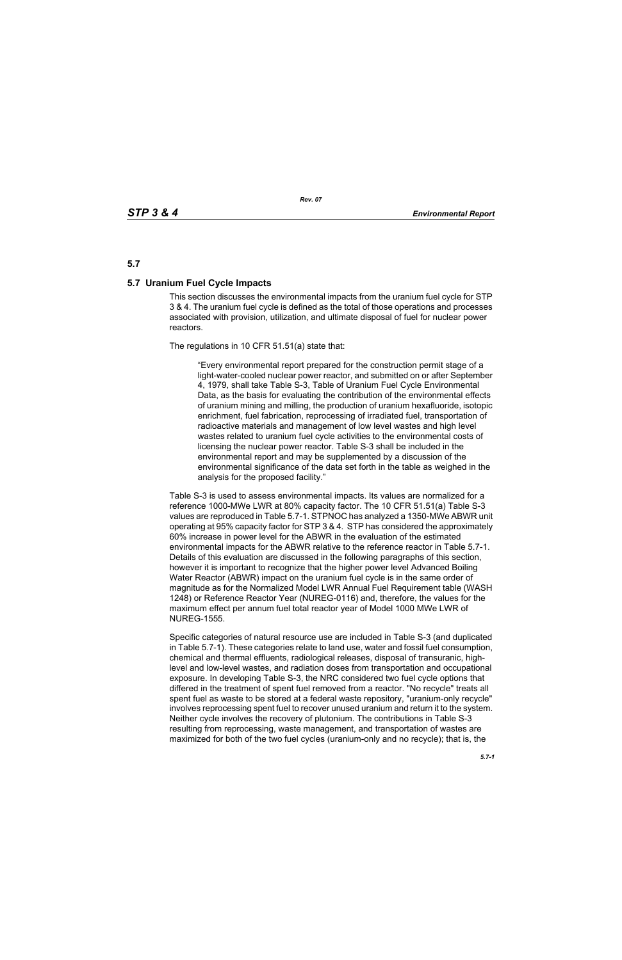### **5.7**

#### **5.7 Uranium Fuel Cycle Impacts**

This section discusses the environmental impacts from the uranium fuel cycle for STP 3 & 4. The uranium fuel cycle is defined as the total of those operations and processes associated with provision, utilization, and ultimate disposal of fuel for nuclear power reactors.

The regulations in 10 CFR 51.51(a) state that:

"Every environmental report prepared for the construction permit stage of a light-water-cooled nuclear power reactor, and submitted on or after September 4, 1979, shall take Table S-3, Table of Uranium Fuel Cycle Environmental Data, as the basis for evaluating the contribution of the environmental effects of uranium mining and milling, the production of uranium hexafluoride, isotopic enrichment, fuel fabrication, reprocessing of irradiated fuel, transportation of radioactive materials and management of low level wastes and high level wastes related to uranium fuel cycle activities to the environmental costs of licensing the nuclear power reactor. Table S-3 shall be included in the environmental report and may be supplemented by a discussion of the environmental significance of the data set forth in the table as weighed in the analysis for the proposed facility."

Table S-3 is used to assess environmental impacts. Its values are normalized for a reference 1000-MWe LWR at 80% capacity factor. The 10 CFR 51.51(a) Table S-3 values are reproduced in Table 5.7-1. STPNOC has analyzed a 1350-MWe ABWR unit operating at 95% capacity factor for STP 3 & 4. STP has considered the approximately 60% increase in power level for the ABWR in the evaluation of the estimated environmental impacts for the ABWR relative to the reference reactor in Table 5.7-1. Details of this evaluation are discussed in the following paragraphs of this section, however it is important to recognize that the higher power level Advanced Boiling Water Reactor (ABWR) impact on the uranium fuel cycle is in the same order of magnitude as for the Normalized Model LWR Annual Fuel Requirement table (WASH 1248) or Reference Reactor Year (NUREG-0116) and, therefore, the values for the maximum effect per annum fuel total reactor year of Model 1000 MWe LWR of NUREG-1555.

Specific categories of natural resource use are included in Table S-3 (and duplicated in Table 5.7-1). These categories relate to land use, water and fossil fuel consumption, chemical and thermal effluents, radiological releases, disposal of transuranic, highlevel and low-level wastes, and radiation doses from transportation and occupational exposure. In developing Table S-3, the NRC considered two fuel cycle options that differed in the treatment of spent fuel removed from a reactor. "No recycle" treats all spent fuel as waste to be stored at a federal waste repository, "uranium-only recycle" involves reprocessing spent fuel to recover unused uranium and return it to the system. Neither cycle involves the recovery of plutonium. The contributions in Table S-3 resulting from reprocessing, waste management, and transportation of wastes are maximized for both of the two fuel cycles (uranium-only and no recycle); that is, the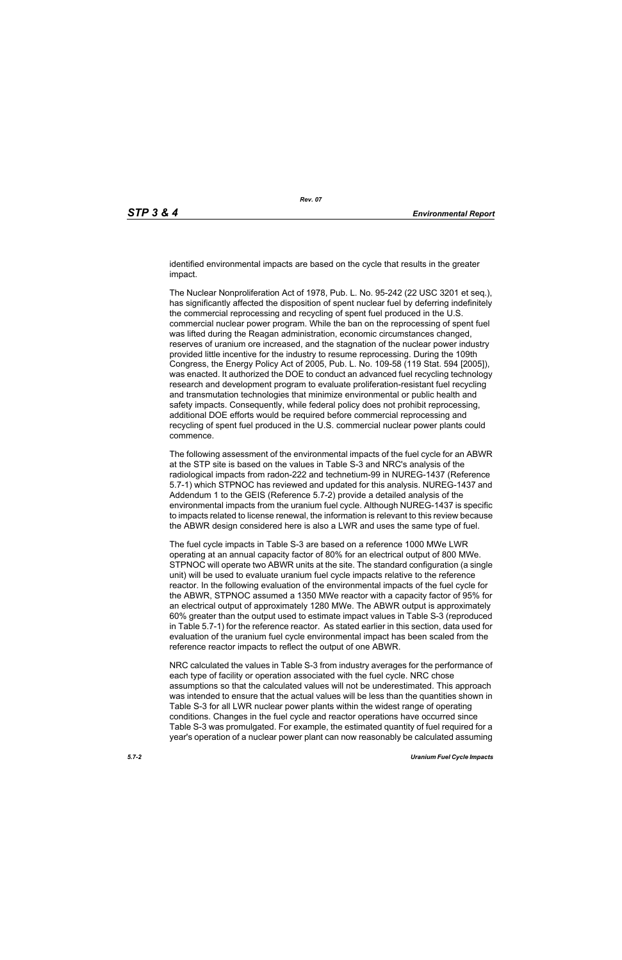identified environmental impacts are based on the cycle that results in the greater impact.

The Nuclear Nonproliferation Act of 1978, Pub. L. No. 95-242 (22 USC 3201 et seq.), has significantly affected the disposition of spent nuclear fuel by deferring indefinitely the commercial reprocessing and recycling of spent fuel produced in the U.S. commercial nuclear power program. While the ban on the reprocessing of spent fuel was lifted during the Reagan administration, economic circumstances changed, reserves of uranium ore increased, and the stagnation of the nuclear power industry provided little incentive for the industry to resume reprocessing. During the 109th Congress, the Energy Policy Act of 2005, Pub. L. No. 109-58 (119 Stat. 594 [2005]), was enacted. It authorized the DOE to conduct an advanced fuel recycling technology research and development program to evaluate proliferation-resistant fuel recycling and transmutation technologies that minimize environmental or public health and safety impacts. Consequently, while federal policy does not prohibit reprocessing, additional DOE efforts would be required before commercial reprocessing and recycling of spent fuel produced in the U.S. commercial nuclear power plants could commence.

The following assessment of the environmental impacts of the fuel cycle for an ABWR at the STP site is based on the values in Table S-3 and NRC's analysis of the radiological impacts from radon-222 and technetium-99 in NUREG-1437 (Reference 5.7-1) which STPNOC has reviewed and updated for this analysis. NUREG-1437 and Addendum 1 to the GEIS (Reference 5.7-2) provide a detailed analysis of the environmental impacts from the uranium fuel cycle. Although NUREG-1437 is specific to impacts related to license renewal, the information is relevant to this review because the ABWR design considered here is also a LWR and uses the same type of fuel.

The fuel cycle impacts in Table S-3 are based on a reference 1000 MWe LWR operating at an annual capacity factor of 80% for an electrical output of 800 MWe. STPNOC will operate two ABWR units at the site. The standard configuration (a single unit) will be used to evaluate uranium fuel cycle impacts relative to the reference reactor. In the following evaluation of the environmental impacts of the fuel cycle for the ABWR, STPNOC assumed a 1350 MWe reactor with a capacity factor of 95% for an electrical output of approximately 1280 MWe. The ABWR output is approximately 60% greater than the output used to estimate impact values in Table S-3 (reproduced in Table 5.7-1) for the reference reactor. As stated earlier in this section, data used for evaluation of the uranium fuel cycle environmental impact has been scaled from the reference reactor impacts to reflect the output of one ABWR.

NRC calculated the values in Table S-3 from industry averages for the performance of each type of facility or operation associated with the fuel cycle. NRC chose assumptions so that the calculated values will not be underestimated. This approach was intended to ensure that the actual values will be less than the quantities shown in Table S-3 for all LWR nuclear power plants within the widest range of operating conditions. Changes in the fuel cycle and reactor operations have occurred since Table S-3 was promulgated. For example, the estimated quantity of fuel required for a year's operation of a nuclear power plant can now reasonably be calculated assuming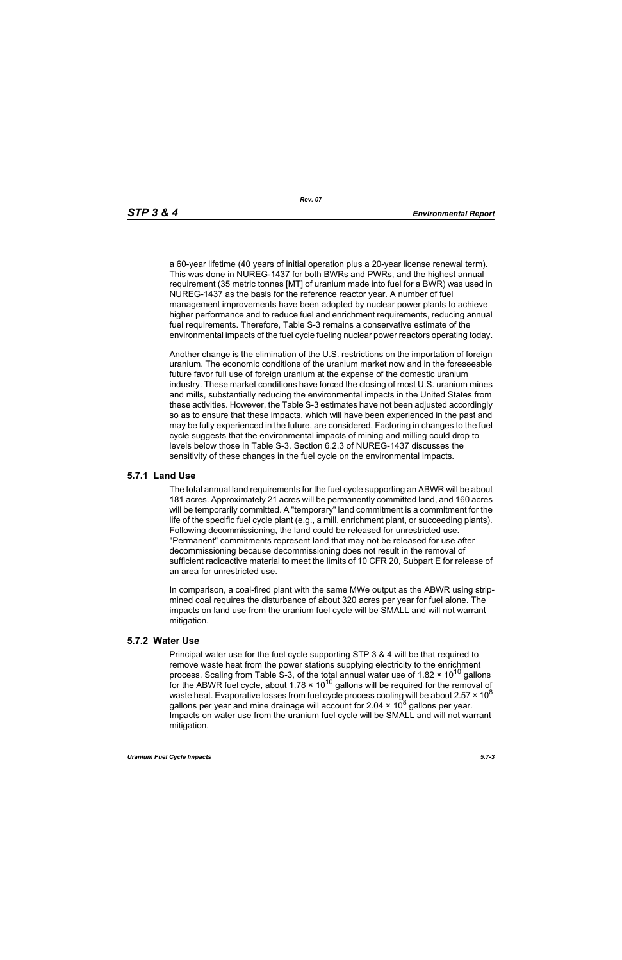a 60-year lifetime (40 years of initial operation plus a 20-year license renewal term). This was done in NUREG-1437 for both BWRs and PWRs, and the highest annual requirement (35 metric tonnes [MT] of uranium made into fuel for a BWR) was used in NUREG-1437 as the basis for the reference reactor year. A number of fuel management improvements have been adopted by nuclear power plants to achieve higher performance and to reduce fuel and enrichment requirements, reducing annual fuel requirements. Therefore, Table S-3 remains a conservative estimate of the environmental impacts of the fuel cycle fueling nuclear power reactors operating today.

Another change is the elimination of the U.S. restrictions on the importation of foreign uranium. The economic conditions of the uranium market now and in the foreseeable future favor full use of foreign uranium at the expense of the domestic uranium industry. These market conditions have forced the closing of most U.S. uranium mines and mills, substantially reducing the environmental impacts in the United States from these activities. However, the Table S-3 estimates have not been adjusted accordingly so as to ensure that these impacts, which will have been experienced in the past and may be fully experienced in the future, are considered. Factoring in changes to the fuel cycle suggests that the environmental impacts of mining and milling could drop to levels below those in Table S-3. Section 6.2.3 of NUREG-1437 discusses the sensitivity of these changes in the fuel cycle on the environmental impacts.

#### **5.7.1 Land Use**

The total annual land requirements for the fuel cycle supporting an ABWR will be about 181 acres. Approximately 21 acres will be permanently committed land, and 160 acres will be temporarily committed. A "temporary" land commitment is a commitment for the life of the specific fuel cycle plant (e.g., a mill, enrichment plant, or succeeding plants). Following decommissioning, the land could be released for unrestricted use. "Permanent" commitments represent land that may not be released for use after decommissioning because decommissioning does not result in the removal of sufficient radioactive material to meet the limits of 10 CFR 20, Subpart E for release of an area for unrestricted use.

In comparison, a coal-fired plant with the same MWe output as the ABWR using stripmined coal requires the disturbance of about 320 acres per year for fuel alone. The impacts on land use from the uranium fuel cycle will be SMALL and will not warrant mitigation.

#### **5.7.2 Water Use**

Principal water use for the fuel cycle supporting STP 3 & 4 will be that required to remove waste heat from the power stations supplying electricity to the enrichment process. Scaling from Table S-3, of the total annual water use of 1.82  $\times$  10<sup>10</sup> gallons for the ABWR fuel cycle, about  $1.78 \times 10^{10}$  gallons will be required for the removal of waste heat. Evaporative losses from fuel cycle process cooling will be about  $2.57 \times 10^8$ gallons per year and mine drainage will account for 2.04  $\times$  10<sup>8</sup> gallons per year. Impacts on water use from the uranium fuel cycle will be SMALL and will not warrant mitigation.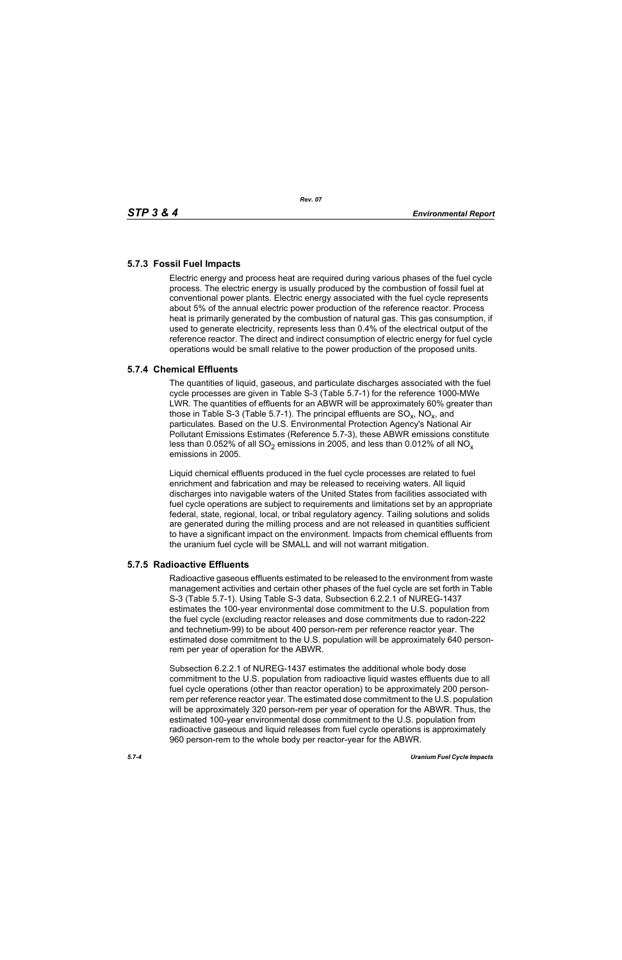## **5.7.3 Fossil Fuel Impacts**

Electric energy and process heat are required during various phases of the fuel cycle process. The electric energy is usually produced by the combustion of fossil fuel at conventional power plants. Electric energy associated with the fuel cycle represents about 5% of the annual electric power production of the reference reactor. Process heat is primarily generated by the combustion of natural gas. This gas consumption, if used to generate electricity, represents less than 0.4% of the electrical output of the reference reactor. The direct and indirect consumption of electric energy for fuel cycle operations would be small relative to the power production of the proposed units.

## **5.7.4 Chemical Effluents**

The quantities of liquid, gaseous, and particulate discharges associated with the fuel cycle processes are given in Table S-3 (Table 5.7-1) for the reference 1000-MWe LWR. The quantities of effluents for an ABWR will be approximately 60% greater than those in Table S-3 (Table 5.7-1). The principal effluents are  $SO_x$ , NO<sub>x</sub>, and particulates. Based on the U.S. Environmental Protection Agency's National Air Pollutant Emissions Estimates (Reference 5.7-3), these ABWR emissions constitute less than 0.052% of all  $SO_2$  emissions in 2005, and less than 0.012% of all  $NO_x$ emissions in 2005.

Liquid chemical effluents produced in the fuel cycle processes are related to fuel enrichment and fabrication and may be released to receiving waters. All liquid discharges into navigable waters of the United States from facilities associated with fuel cycle operations are subject to requirements and limitations set by an appropriate federal, state, regional, local, or tribal regulatory agency. Tailing solutions and solids are generated during the milling process and are not released in quantities sufficient to have a significant impact on the environment. Impacts from chemical effluents from the uranium fuel cycle will be SMALL and will not warrant mitigation.

## **5.7.5 Radioactive Effluents**

Radioactive gaseous effluents estimated to be released to the environment from waste management activities and certain other phases of the fuel cycle are set forth in Table S-3 (Table 5.7-1). Using Table S-3 data, Subsection 6.2.2.1 of NUREG-1437 estimates the 100-year environmental dose commitment to the U.S. population from the fuel cycle (excluding reactor releases and dose commitments due to radon-222 and technetium-99) to be about 400 person-rem per reference reactor year. The estimated dose commitment to the U.S. population will be approximately 640 personrem per year of operation for the ABWR.

Subsection 6.2.2.1 of NUREG-1437 estimates the additional whole body dose commitment to the U.S. population from radioactive liquid wastes effluents due to all fuel cycle operations (other than reactor operation) to be approximately 200 personrem per reference reactor year. The estimated dose commitment to the U.S. population will be approximately 320 person-rem per year of operation for the ABWR. Thus, the estimated 100-year environmental dose commitment to the U.S. population from radioactive gaseous and liquid releases from fuel cycle operations is approximately 960 person-rem to the whole body per reactor-year for the ABWR.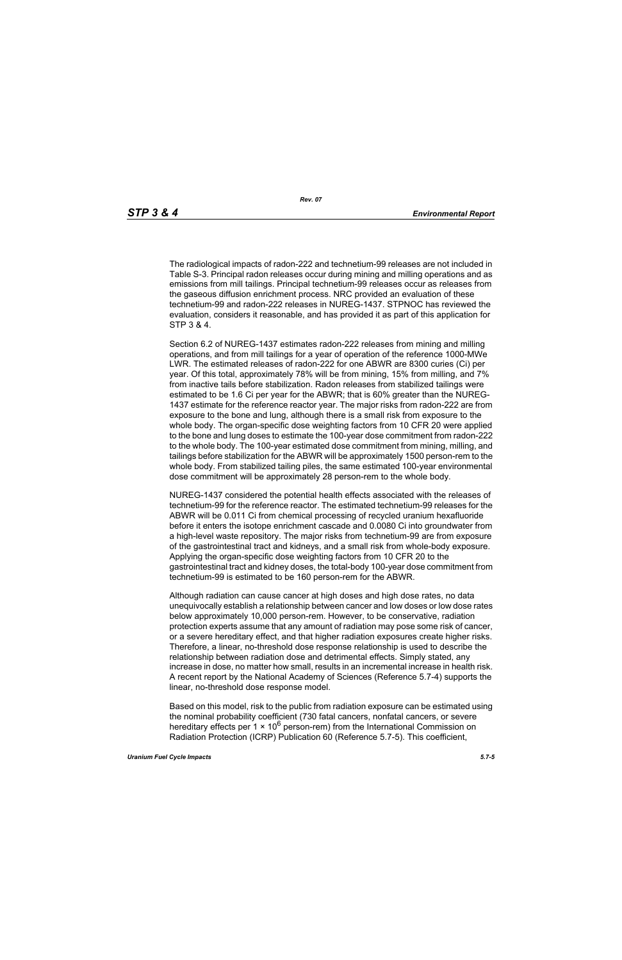The radiological impacts of radon-222 and technetium-99 releases are not included in Table S-3. Principal radon releases occur during mining and milling operations and as emissions from mill tailings. Principal technetium-99 releases occur as releases from the gaseous diffusion enrichment process. NRC provided an evaluation of these technetium-99 and radon-222 releases in NUREG-1437. STPNOC has reviewed the evaluation, considers it reasonable, and has provided it as part of this application for STP 3 & 4.

Section 6.2 of NUREG-1437 estimates radon-222 releases from mining and milling operations, and from mill tailings for a year of operation of the reference 1000-MWe LWR. The estimated releases of radon-222 for one ABWR are 8300 curies (Ci) per year. Of this total, approximately 78% will be from mining, 15% from milling, and 7% from inactive tails before stabilization. Radon releases from stabilized tailings were estimated to be 1.6 Ci per year for the ABWR; that is 60% greater than the NUREG-1437 estimate for the reference reactor year. The major risks from radon-222 are from exposure to the bone and lung, although there is a small risk from exposure to the whole body. The organ-specific dose weighting factors from 10 CFR 20 were applied to the bone and lung doses to estimate the 100-year dose commitment from radon-222 to the whole body. The 100-year estimated dose commitment from mining, milling, and tailings before stabilization for the ABWR will be approximately 1500 person-rem to the whole body. From stabilized tailing piles, the same estimated 100-year environmental dose commitment will be approximately 28 person-rem to the whole body.

NUREG-1437 considered the potential health effects associated with the releases of technetium-99 for the reference reactor. The estimated technetium-99 releases for the ABWR will be 0.011 Ci from chemical processing of recycled uranium hexafluoride before it enters the isotope enrichment cascade and 0.0080 Ci into groundwater from a high-level waste repository. The major risks from technetium-99 are from exposure of the gastrointestinal tract and kidneys, and a small risk from whole-body exposure. Applying the organ-specific dose weighting factors from 10 CFR 20 to the gastrointestinal tract and kidney doses, the total-body 100-year dose commitment from technetium-99 is estimated to be 160 person-rem for the ABWR.

Although radiation can cause cancer at high doses and high dose rates, no data unequivocally establish a relationship between cancer and low doses or low dose rates below approximately 10,000 person-rem. However, to be conservative, radiation protection experts assume that any amount of radiation may pose some risk of cancer, or a severe hereditary effect, and that higher radiation exposures create higher risks. Therefore, a linear, no-threshold dose response relationship is used to describe the relationship between radiation dose and detrimental effects. Simply stated, any increase in dose, no matter how small, results in an incremental increase in health risk. A recent report by the National Academy of Sciences (Reference 5.7-4) supports the linear, no-threshold dose response model.

Based on this model, risk to the public from radiation exposure can be estimated using the nominal probability coefficient (730 fatal cancers, nonfatal cancers, or severe hereditary effects per 1  $\times$  10<sup>6</sup> person-rem) from the International Commission on Radiation Protection (ICRP) Publication 60 (Reference 5.7-5). This coefficient,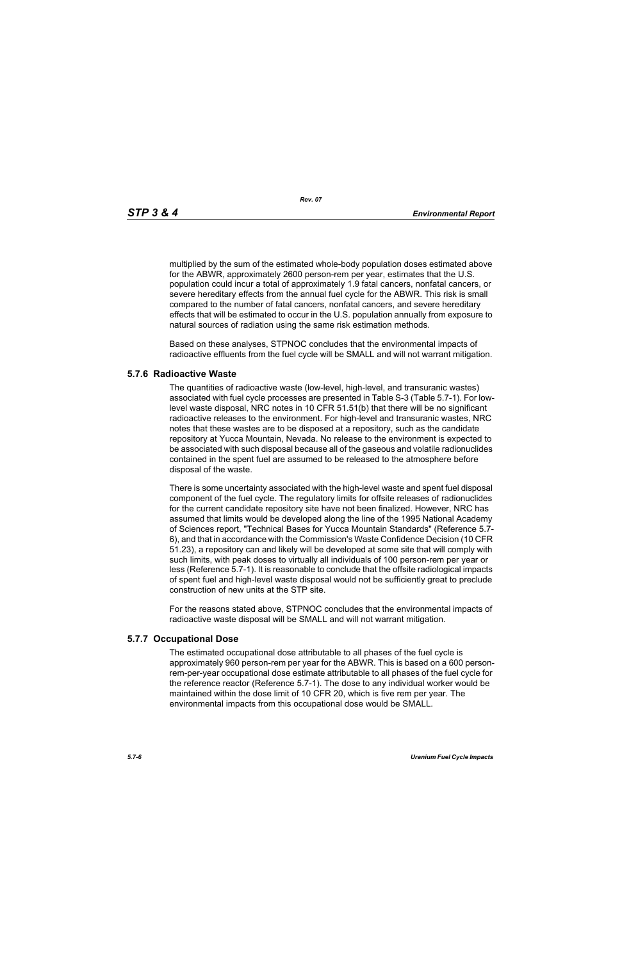*Rev. 07*

multiplied by the sum of the estimated whole-body population doses estimated above for the ABWR, approximately 2600 person-rem per year, estimates that the U.S. population could incur a total of approximately 1.9 fatal cancers, nonfatal cancers, or severe hereditary effects from the annual fuel cycle for the ABWR. This risk is small compared to the number of fatal cancers, nonfatal cancers, and severe hereditary effects that will be estimated to occur in the U.S. population annually from exposure to natural sources of radiation using the same risk estimation methods.

Based on these analyses, STPNOC concludes that the environmental impacts of radioactive effluents from the fuel cycle will be SMALL and will not warrant mitigation.

### **5.7.6 Radioactive Waste**

The quantities of radioactive waste (low-level, high-level, and transuranic wastes) associated with fuel cycle processes are presented in Table S-3 (Table 5.7-1). For lowlevel waste disposal, NRC notes in 10 CFR 51.51(b) that there will be no significant radioactive releases to the environment. For high-level and transuranic wastes, NRC notes that these wastes are to be disposed at a repository, such as the candidate repository at Yucca Mountain, Nevada. No release to the environment is expected to be associated with such disposal because all of the gaseous and volatile radionuclides contained in the spent fuel are assumed to be released to the atmosphere before disposal of the waste.

There is some uncertainty associated with the high-level waste and spent fuel disposal component of the fuel cycle. The regulatory limits for offsite releases of radionuclides for the current candidate repository site have not been finalized. However, NRC has assumed that limits would be developed along the line of the 1995 National Academy of Sciences report, "Technical Bases for Yucca Mountain Standards" (Reference 5.7- 6), and that in accordance with the Commission's Waste Confidence Decision (10 CFR 51.23), a repository can and likely will be developed at some site that will comply with such limits, with peak doses to virtually all individuals of 100 person-rem per year or less (Reference 5.7-1). It is reasonable to conclude that the offsite radiological impacts of spent fuel and high-level waste disposal would not be sufficiently great to preclude construction of new units at the STP site.

For the reasons stated above, STPNOC concludes that the environmental impacts of radioactive waste disposal will be SMALL and will not warrant mitigation.

## **5.7.7 Occupational Dose**

The estimated occupational dose attributable to all phases of the fuel cycle is approximately 960 person-rem per year for the ABWR. This is based on a 600 personrem-per-year occupational dose estimate attributable to all phases of the fuel cycle for the reference reactor (Reference 5.7-1). The dose to any individual worker would be maintained within the dose limit of 10 CFR 20, which is five rem per year. The environmental impacts from this occupational dose would be SMALL.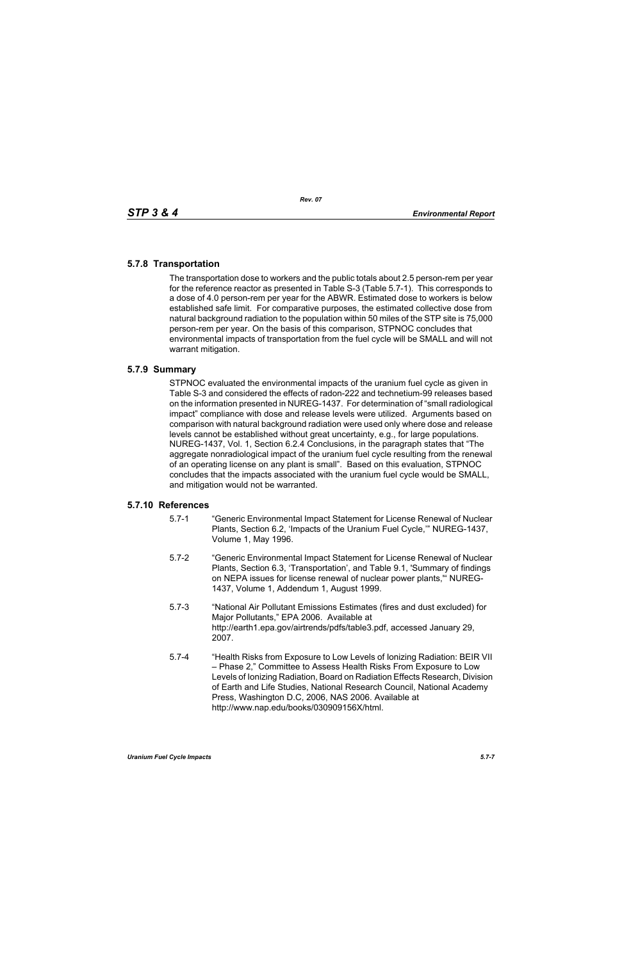# **5.7.8 Transportation**

The transportation dose to workers and the public totals about 2.5 person-rem per year for the reference reactor as presented in Table S-3 (Table 5.7-1). This corresponds to a dose of 4.0 person-rem per year for the ABWR. Estimated dose to workers is below established safe limit. For comparative purposes, the estimated collective dose from natural background radiation to the population within 50 miles of the STP site is 75,000 person-rem per year. On the basis of this comparison, STPNOC concludes that environmental impacts of transportation from the fuel cycle will be SMALL and will not warrant mitigation.

### **5.7.9 Summary**

STPNOC evaluated the environmental impacts of the uranium fuel cycle as given in Table S-3 and considered the effects of radon-222 and technetium-99 releases based on the information presented in NUREG-1437. For determination of "small radiological impact" compliance with dose and release levels were utilized. Arguments based on comparison with natural background radiation were used only where dose and release levels cannot be established without great uncertainty, e.g., for large populations. NUREG-1437, Vol. 1, Section 6.2.4 Conclusions, in the paragraph states that "The aggregate nonradiological impact of the uranium fuel cycle resulting from the renewal of an operating license on any plant is small". Based on this evaluation, STPNOC concludes that the impacts associated with the uranium fuel cycle would be SMALL, and mitigation would not be warranted.

#### **5.7.10 References**

- 5.7-1 "Generic Environmental Impact Statement for License Renewal of Nuclear Plants, Section 6.2, 'Impacts of the Uranium Fuel Cycle,'" NUREG-1437, Volume 1, May 1996.
- 5.7-2 "Generic Environmental Impact Statement for License Renewal of Nuclear Plants, Section 6.3, 'Transportation', and Table 9.1, 'Summary of findings on NEPA issues for license renewal of nuclear power plants,'" NUREG-1437, Volume 1, Addendum 1, August 1999.
- 5.7-3 "National Air Pollutant Emissions Estimates (fires and dust excluded) for Major Pollutants," EPA 2006. Available at http://earth1.epa.gov/airtrends/pdfs/table3.pdf, accessed January 29, 2007.
- 5.7-4 "Health Risks from Exposure to Low Levels of Ionizing Radiation: BEIR VII – Phase 2," Committee to Assess Health Risks From Exposure to Low Levels of Ionizing Radiation, Board on Radiation Effects Research, Division of Earth and Life Studies, National Research Council, National Academy Press, Washington D.C, 2006, NAS 2006. Available at http://www.nap.edu/books/030909156X/html.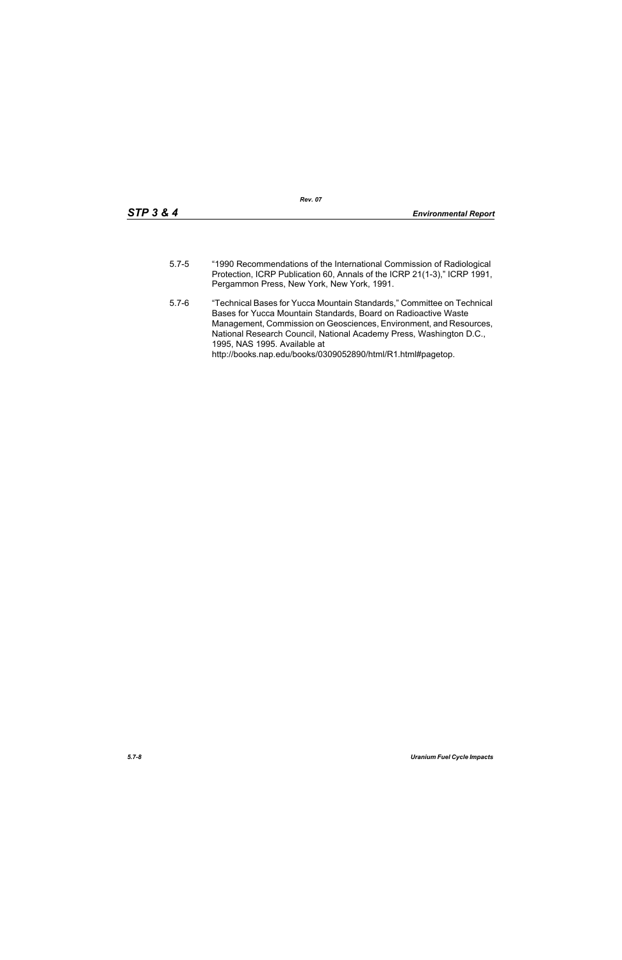- 5.7-5 "1990 Recommendations of the International Commission of Radiological Protection, ICRP Publication 60, Annals of the ICRP 21(1-3)," ICRP 1991, Pergammon Press, New York, New York, 1991.
- 5.7-6 "Technical Bases for Yucca Mountain Standards," Committee on Technical Bases for Yucca Mountain Standards, Board on Radioactive Waste Management, Commission on Geosciences, Environment, and Resources, National Research Council, National Academy Press, Washington D.C., 1995, NAS 1995. Available at http://books.nap.edu/books/0309052890/html/R1.html#pagetop.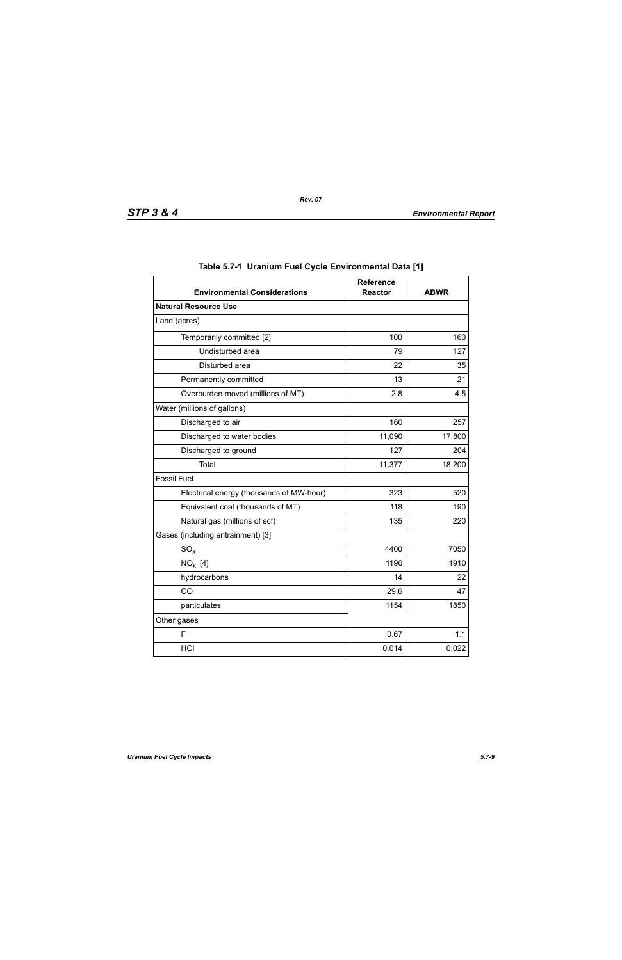| <b>Environmental Considerations</b>      | <b>Reference</b><br><b>Reactor</b> | <b>ABWR</b> |  |
|------------------------------------------|------------------------------------|-------------|--|
| <b>Natural Resource Use</b>              |                                    |             |  |
| Land (acres)                             |                                    |             |  |
| Temporarily committed [2]                |                                    | 160         |  |
| Undisturbed area                         | 79                                 | 127         |  |
| Disturbed area                           | 22                                 | 35          |  |
| Permanently committed                    | 13                                 | 21          |  |
| Overburden moved (millions of MT)        | 2.8                                | 4.5         |  |
| Water (millions of gallons)              |                                    |             |  |
| Discharged to air                        | 160                                | 257         |  |
| 11,090<br>Discharged to water bodies     |                                    | 17,800      |  |
| Discharged to ground                     | 127                                | 204         |  |
| Total                                    | 11,377                             | 18,200      |  |
| <b>Fossil Fuel</b>                       |                                    |             |  |
| Electrical energy (thousands of MW-hour) | 323                                | 520         |  |
| Equivalent coal (thousands of MT)        | 118                                | 190         |  |
| Natural gas (millions of scf)            | 135                                | 220         |  |
| Gases (including entrainment) [3]        |                                    |             |  |
| $SO_{x}$                                 | 4400                               | 7050        |  |
| $NO_x$ [4]                               | 1190                               | 1910        |  |
| hydrocarbons                             | 14                                 | 22          |  |
| CO                                       | 29.6                               | 47          |  |
| particulates                             | 1154                               | 1850        |  |
| Other gases                              |                                    |             |  |
| F                                        | 0.67                               | 1.1         |  |
| HCI                                      | 0.014                              | 0.022       |  |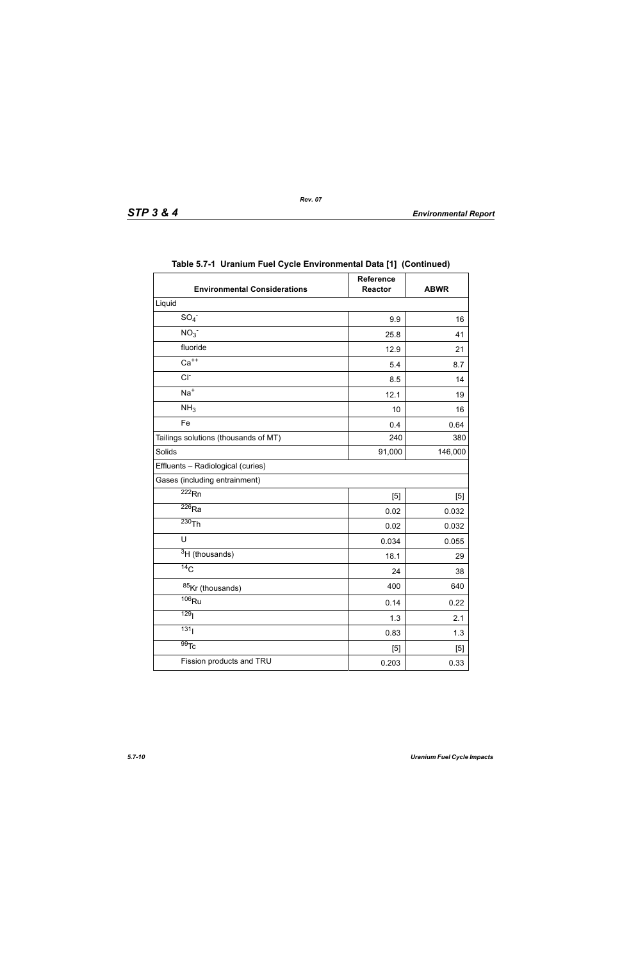| <b>Environmental Considerations</b>  | Reference<br><b>Reactor</b> | <b>ABWR</b> |
|--------------------------------------|-----------------------------|-------------|
| Liquid                               |                             |             |
| SO <sub>4</sub>                      | 9.9                         | 16          |
| NO <sub>3</sub>                      | 25.8                        | 41          |
| fluoride                             | 12.9                        | 21          |
| $Ca++$                               | 5.4                         | 8.7         |
| $CI-$                                |                             | 14          |
| $Na+$                                | 12.1                        | 19          |
| NH <sub>3</sub><br>10                |                             | 16          |
| Fe                                   | 0.4                         | 0.64        |
| Tailings solutions (thousands of MT) | 240                         | 380         |
| Solids                               | 91,000                      | 146,000     |
| Effluents - Radiological (curies)    |                             |             |
| Gases (including entrainment)        |                             |             |
| $\overline{222}$ Rn                  | [5]                         | [5]         |
| $\overline{^{226}}$ Ra               | 0.02                        | 0.032       |
| $230$ Th                             | 0.02                        | 0.032       |
| U                                    | 0.034                       | 0.055       |
| <sup>3</sup> H (thousands)           | 18.1                        | 29          |
| 14 <sub>C</sub>                      | 24                          | 38          |
| 85Kr (thousands)                     | 400                         | 640         |
| $\overline{106}$ Ru                  | 0.14                        | 0.22        |
| 129 <sub>l</sub>                     | 1.3                         | 2.1         |
| 131                                  | 0.83                        | 1.3         |
| $\overline{99}$ Tc                   | [5]                         | [5]         |
| Fission products and TRU             | 0.203                       | 0.33        |